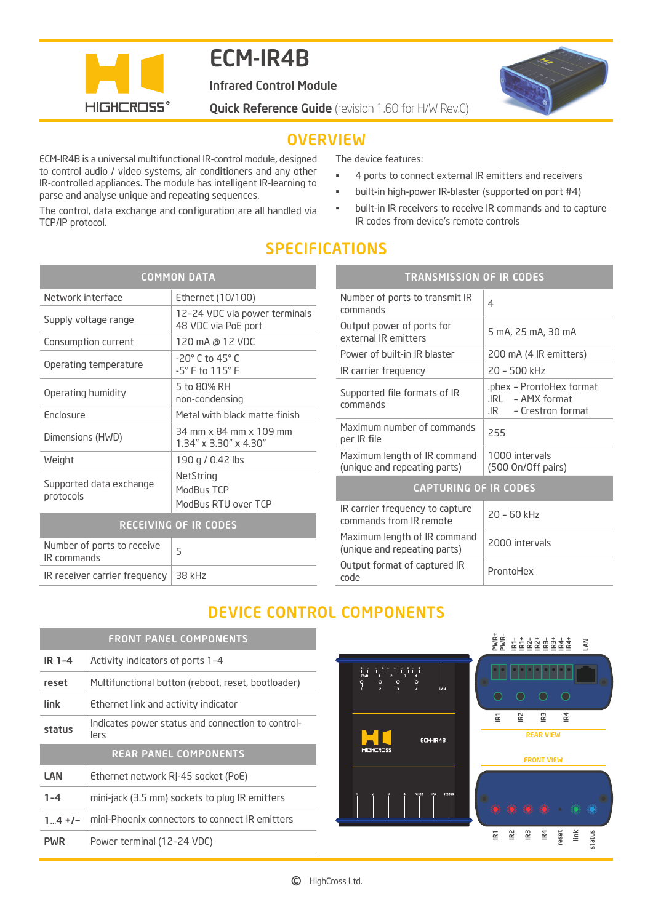

# ECM-IR4B

Infrared Control Module

**Quick Reference Guide** (revision 1.60 for H/W Rev.C)



### **OVERVIEW**

ECM-IR4B is a universal multifunctional IR-control module, designed to control audio / video systems, air conditioners and any other IR-controlled appliances. The module has intelligent IR-learning to parse and analyse unique and repeating sequences.

The control, data exchange and configuration are all handled via TCP/IP protocol.

The device features:

- 4 ports to connect external IR emitters and receivers
- built-in high-power IR-blaster (supported on port #4)
- built-in IR receivers to receive IR commands and to capture IR codes from device's remote controls

### SPECIFICATIONS

| <b>COMMON DATA</b>                        |                                                                      |  |
|-------------------------------------------|----------------------------------------------------------------------|--|
| Network interface                         | Ethernet (10/100)                                                    |  |
| Supply voltage range                      | 12-24 VDC via power terminals<br>48 VDC via PoE port                 |  |
| Consumption current                       | 120 mA @ 12 VDC                                                      |  |
| Operating temperature                     | $-20^\circ$ C to 45 $^\circ$ C<br>$-5^{\circ}$ F to 115 $^{\circ}$ F |  |
| Operating humidity                        | 5 to 80% RH<br>non-condensing                                        |  |
| <b>Enclosure</b>                          | Metal with black matte finish                                        |  |
| Dimensions (HWD)                          | 34 mm x 84 mm x 109 mm<br>$1.34'' \times 3.30'' \times 4.30''$       |  |
| Weight                                    | 190 g / 0.42 lbs                                                     |  |
| Supported data exchange<br>protocols      | NetString<br>ModBus TCP<br>ModBus RTU over TCP                       |  |
| <b>RECEIVING OF IR CODES</b>              |                                                                      |  |
| Number of ports to receive<br>IR commands | 5                                                                    |  |

| IR receiver carrier frequency $\vert$ 38 kHz |  |
|----------------------------------------------|--|
|----------------------------------------------|--|

| <b>TRANSMISSION OF IR CODES</b>                              |                                                                            |
|--------------------------------------------------------------|----------------------------------------------------------------------------|
| Number of ports to transmit IR<br>commands                   | 4                                                                          |
| Output power of ports for<br>external IR emitters            | 5 mA, 25 mA, 30 mA                                                         |
| Power of built-in IR blaster                                 | 200 mA (4 IR emitters)                                                     |
| IR carrier frequency                                         | 20 - 500 kHz                                                               |
| Supported file formats of IR<br>commands                     | phex - ProntoHex format.<br>$IRI - AMX$ format<br>- Crestron format<br>.IR |
| Maximum number of commands<br>per IR file                    | 255                                                                        |
| Maximum length of IR command<br>(unique and repeating parts) | 1000 intervals<br>(500 On/Off pairs)                                       |
| <b>CAPTURING OF IR CODES</b>                                 |                                                                            |
| IR carrier frequency to capture<br>commands from IR remote   | $20 - 60$ kHz                                                              |
| Maximum length of IR command<br>(unique and repeating parts) | 2000 intervals                                                             |
| Output format of captured IR<br>code                         | ProntoHex                                                                  |

## DEVICE CONTROL COMPONENTS

|             | <b>FRONT PANEL COMPONENTS</b>                             |
|-------------|-----------------------------------------------------------|
| $IR1-4$     | Activity indicators of ports 1-4                          |
| reset       | Multifunctional button (reboot, reset, bootloader)        |
| link        | Ethernet link and activity indicator                      |
| status      | Indicates power status and connection to control-<br>lers |
|             | <b>REAR PANEL COMPONENTS</b>                              |
| LAN         | Ethernet network RJ-45 socket (PoE)                       |
| $1 - 4$     | mini-jack (3.5 mm) sockets to plug IR emitters            |
| $1_{}4 + 1$ | mini-Phoenix connectors to connect IR emitters            |
| PWR         | Power terminal (12-24 VDC)                                |